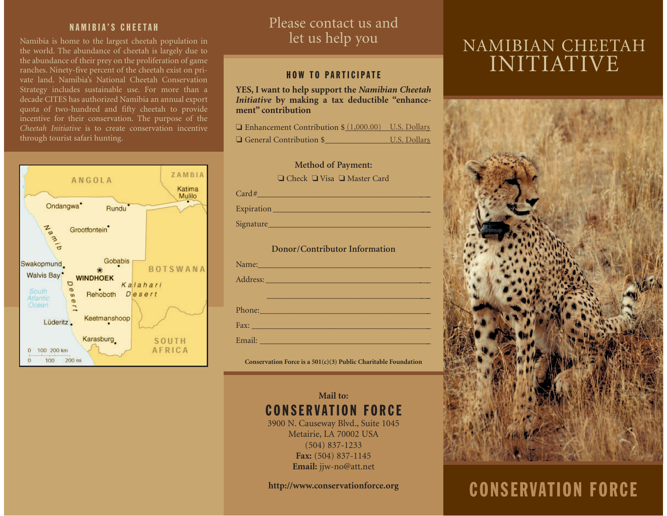#### NAMIBIA'S CHEETAH

Namibia is home to the largest cheetah population in the world. The abundance of cheetah is largely due to the abundance of their prey on the proliferation of game ranches. Ninety-five percent of the cheetah exist on private land. Namibia's National Cheetah Conservation Strategy includes sustainable use. For more than a decade CITES has authorized Namibia an annual export quota of two-hundred and fifty cheetah to provide incentive for their conservation. The purpose of the *Cheetah Initiative* is to create conservation incentivethrough tourist safari hunting.



# Please contact us and let us help you

#### HOW TO PARTICIPATE

**YES, I want to help support the** *Namibian Cheetah Initiative* **by making a tax deductible "enhancement" contribution**

| $\Box$ Enhancement Contribution $\$(1,000.00)$ U.S. Dollars |              |
|-------------------------------------------------------------|--------------|
| $\Box$ General Contribution \$                              | U.S. Dollars |



Expiration \_\_\_\_\_\_\_\_\_\_\_\_\_\_\_\_\_\_\_\_\_\_\_\_\_\_\_\_\_\_\_\_\_\_\_\_\_\_\_

Signature

**Donor/Contributor Information**

| Name:                                                                                                                                                                                                                               |
|-------------------------------------------------------------------------------------------------------------------------------------------------------------------------------------------------------------------------------------|
|                                                                                                                                                                                                                                     |
|                                                                                                                                                                                                                                     |
|                                                                                                                                                                                                                                     |
| <b>Fax:</b> Fax: The Contract of the Contract of the Contract of the Contract of the Contract of the Contract of the Contract of the Contract of the Contract of the Contract of the Contract of the Contract of the Contract of th |
|                                                                                                                                                                                                                                     |

**Conservation Force is a 501(c)(3) Public Charitable Foundation**

## **Mail to:**CONSERVATION FORCE3900 N. Causeway Blvd., Suite 1045

Metairie, LA 70002 USA (504) 837-1233 **Fax:** (504) 837-1145 **Email:** jjw-no@att.net

**http://www.conservationforce.org**

# NAMIBIAN CHEETAH INITIATIVE



# CONSERVATION FORCE